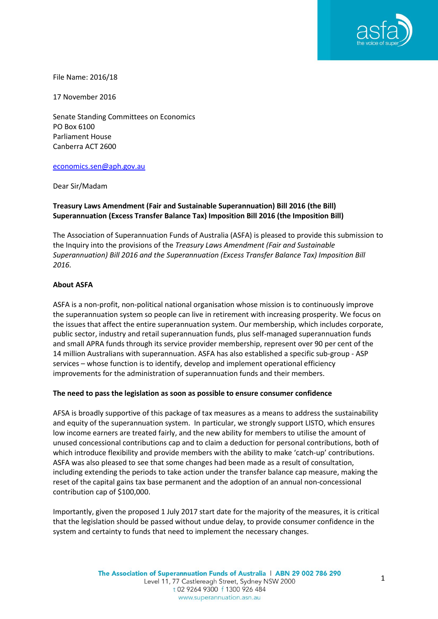

File Name: 2016/18

17 November 2016

Senate Standing Committees on Economics PO Box 6100 Parliament House Canberra ACT 2600

#### [economics.sen@aph.gov.au](mailto:economics.sen@aph.gov.au)

Dear Sir/Madam

### **Treasury Laws Amendment (Fair and Sustainable Superannuation) Bill 2016 (the Bill) Superannuation (Excess Transfer Balance Tax) Imposition Bill 2016 (the Imposition Bill)**

The Association of Superannuation Funds of Australia (ASFA) is pleased to provide this submission to the Inquiry into the provisions of the *Treasury Laws Amendment (Fair and Sustainable Superannuation) Bill 2016 and the Superannuation (Excess Transfer Balance Tax) Imposition Bill 2016.*

#### **About ASFA**

ASFA is a non-profit, non-political national organisation whose mission is to continuously improve the superannuation system so people can live in retirement with increasing prosperity. We focus on the issues that affect the entire superannuation system. Our membership, which includes corporate, public sector, industry and retail superannuation funds, plus self-managed superannuation funds and small APRA funds through its service provider membership, represent over 90 per cent of the 14 million Australians with superannuation. ASFA has also established a specific sub-group - ASP services – whose function is to identify, develop and implement operational efficiency improvements for the administration of superannuation funds and their members.

#### **The need to pass the legislation as soon as possible to ensure consumer confidence**

AFSA is broadly supportive of this package of tax measures as a means to address the sustainability and equity of the superannuation system. In particular, we strongly support LISTO, which ensures low income earners are treated fairly, and the new ability for members to utilise the amount of unused concessional contributions cap and to claim a deduction for personal contributions, both of which introduce flexibility and provide members with the ability to make 'catch-up' contributions. ASFA was also pleased to see that some changes had been made as a result of consultation, including extending the periods to take action under the transfer balance cap measure, making the reset of the capital gains tax base permanent and the adoption of an annual non-concessional contribution cap of \$100,000.

Importantly, given the proposed 1 July 2017 start date for the majority of the measures, it is critical that the legislation should be passed without undue delay, to provide consumer confidence in the system and certainty to funds that need to implement the necessary changes.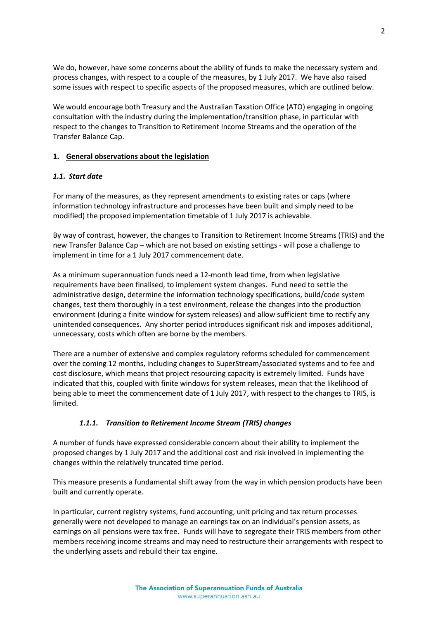We do, however, have some concerns about the ability of funds to make the necessary system and process changes, with respect to a couple of the measures, by 1 July 2017. We have also raised some issues with respect to specific aspects of the proposed measures, which are outlined below.

We would encourage both Treasury and the Australian Taxation Office (ATO) engaging in ongoing consultation with the industry during the implementation/transition phase, in particular with respect to the changes to Transition to Retirement Income Streams and the operation of the Transfer Balance Cap.

### **1. General observations about the legislation**

### *1.1. Start date*

For many of the measures, as they represent amendments to existing rates or caps (where information technology infrastructure and processes have been built and simply need to be modified) the proposed implementation timetable of 1 July 2017 is achievable.

By way of contrast, however, the changes to Transition to Retirement Income Streams (TRIS) and the new Transfer Balance Cap – which are not based on existing settings - will pose a challenge to implement in time for a 1 July 2017 commencement date.

As a minimum superannuation funds need a 12-month lead time, from when legislative requirements have been finalised, to implement system changes. Fund need to settle the administrative design, determine the information technology specifications, build/code system changes, test them thoroughly in a test environment, release the changes into the production environment (during a finite window for system releases) and allow sufficient time to rectify any unintended consequences. Any shorter period introduces significant risk and imposes additional, unnecessary, costs which often are borne by the members.

There are a number of extensive and complex regulatory reforms scheduled for commencement over the coming 12 months, including changes to SuperStream/associated systems and to fee and cost disclosure, which means that project resourcing capacity is extremely limited. Funds have indicated that this, coupled with finite windows for system releases, mean that the likelihood of being able to meet the commencement date of 1 July 2017, with respect to the changes to TRIS, is limited.

# *1.1.1. Transition to Retirement Income Stream (TRIS) changes*

A number of funds have expressed considerable concern about their ability to implement the proposed changes by 1 July 2017 and the additional cost and risk involved in implementing the changes within the relatively truncated time period.

This measure presents a fundamental shift away from the way in which pension products have been built and currently operate.

In particular, current registry systems, fund accounting, unit pricing and tax return processes generally were not developed to manage an earnings tax on an individual's pension assets, as earnings on all pensions were tax free. Funds will have to segregate their TRIS members from other members receiving income streams and may need to restructure their arrangements with respect to the underlying assets and rebuild their tax engine.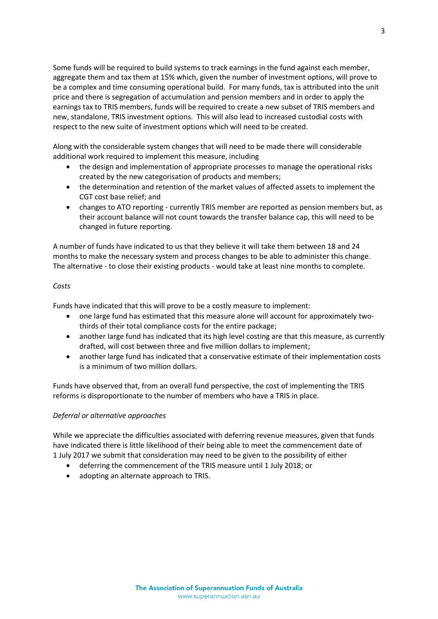Some funds will be required to build systems to track earnings in the fund against each member, aggregate them and tax them at 15% which, given the number of investment options, will prove to be a complex and time consuming operational build. For many funds, tax is attributed into the unit price and there is segregation of accumulation and pension members and in order to apply the earnings tax to TRIS members, funds will be required to create a new subset of TRIS members and new, standalone, TRIS investment options. This will also lead to increased custodial costs with respect to the new suite of investment options which will need to be created.

Along with the considerable system changes that will need to be made there will considerable additional work required to implement this measure, including

- the design and implementation of appropriate processes to manage the operational risks created by the new categorisation of products and members;
- the determination and retention of the market values of affected assets to implement the CGT cost base relief; and
- changes to ATO reporting currently TRIS member are reported as pension members but, as their account balance will not count towards the transfer balance cap, this will need to be changed in future reporting.

A number of funds have indicated to us that they believe it will take them between 18 and 24 months to make the necessary system and process changes to be able to administer this change. The alternative - to close their existing products - would take at least nine months to complete.

### *Costs*

Funds have indicated that this will prove to be a costly measure to implement:

- one large fund has estimated that this measure alone will account for approximately twothirds of their total compliance costs for the entire package;
- another large fund has indicated that its high level costing are that this measure, as currently drafted, will cost between three and five million dollars to implement;
- another large fund has indicated that a conservative estimate of their implementation costs is a minimum of two million dollars.

Funds have observed that, from an overall fund perspective, the cost of implementing the TRIS reforms is disproportionate to the number of members who have a TRIS in place.

### *Deferral or alternative approaches*

While we appreciate the difficulties associated with deferring revenue measures, given that funds have indicated there is little likelihood of their being able to meet the commencement date of 1 July 2017 we submit that consideration may need to be given to the possibility of either

- deferring the commencement of the TRIS measure until 1 July 2018; or
- adopting an alternate approach to TRIS.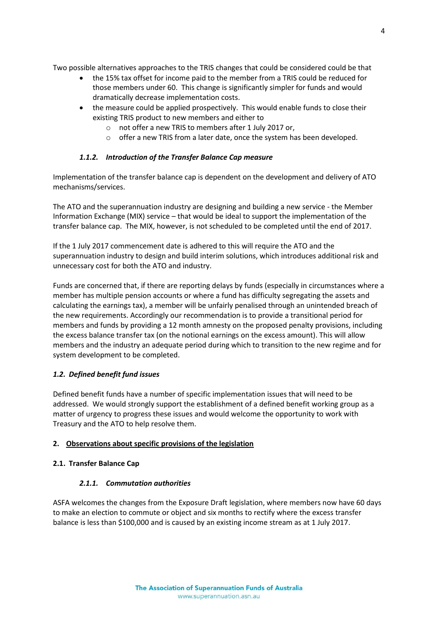Two possible alternatives approaches to the TRIS changes that could be considered could be that

- the 15% tax offset for income paid to the member from a TRIS could be reduced for those members under 60. This change is significantly simpler for funds and would dramatically decrease implementation costs.
- the measure could be applied prospectively. This would enable funds to close their existing TRIS product to new members and either to
	- o not offer a new TRIS to members after 1 July 2017 or,
	- $\circ$  offer a new TRIS from a later date, once the system has been developed.

### *1.1.2. Introduction of the Transfer Balance Cap measure*

Implementation of the transfer balance cap is dependent on the development and delivery of ATO mechanisms/services.

The ATO and the superannuation industry are designing and building a new service - the Member Information Exchange (MIX) service – that would be ideal to support the implementation of the transfer balance cap. The MIX, however, is not scheduled to be completed until the end of 2017.

If the 1 July 2017 commencement date is adhered to this will require the ATO and the superannuation industry to design and build interim solutions, which introduces additional risk and unnecessary cost for both the ATO and industry.

Funds are concerned that, if there are reporting delays by funds (especially in circumstances where a member has multiple pension accounts or where a fund has difficulty segregating the assets and calculating the earnings tax), a member will be unfairly penalised through an unintended breach of the new requirements. Accordingly our recommendation is to provide a transitional period for members and funds by providing a 12 month amnesty on the proposed penalty provisions, including the excess balance transfer tax (on the notional earnings on the excess amount). This will allow members and the industry an adequate period during which to transition to the new regime and for system development to be completed.

# *1.2. Defined benefit fund issues*

Defined benefit funds have a number of specific implementation issues that will need to be addressed. We would strongly support the establishment of a defined benefit working group as a matter of urgency to progress these issues and would welcome the opportunity to work with Treasury and the ATO to help resolve them.

### **2. Observations about specific provisions of the legislation**

### **2.1. Transfer Balance Cap**

### *2.1.1. Commutation authorities*

ASFA welcomes the changes from the Exposure Draft legislation, where members now have 60 days to make an election to commute or object and six months to rectify where the excess transfer balance is less than \$100,000 and is caused by an existing income stream as at 1 July 2017.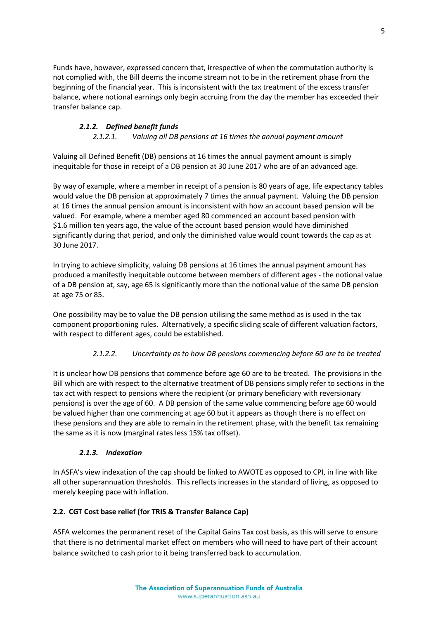Funds have, however, expressed concern that, irrespective of when the commutation authority is not complied with, the Bill deems the income stream not to be in the retirement phase from the beginning of the financial year. This is inconsistent with the tax treatment of the excess transfer balance, where notional earnings only begin accruing from the day the member has exceeded their transfer balance cap.

# *2.1.2. Defined benefit funds*

*2.1.2.1. Valuing all DB pensions at 16 times the annual payment amount*

Valuing all Defined Benefit (DB) pensions at 16 times the annual payment amount is simply inequitable for those in receipt of a DB pension at 30 June 2017 who are of an advanced age.

By way of example, where a member in receipt of a pension is 80 years of age, life expectancy tables would value the DB pension at approximately 7 times the annual payment. Valuing the DB pension at 16 times the annual pension amount is inconsistent with how an account based pension will be valued. For example, where a member aged 80 commenced an account based pension with \$1.6 million ten years ago, the value of the account based pension would have diminished significantly during that period, and only the diminished value would count towards the cap as at 30 June 2017.

In trying to achieve simplicity, valuing DB pensions at 16 times the annual payment amount has produced a manifestly inequitable outcome between members of different ages - the notional value of a DB pension at, say, age 65 is significantly more than the notional value of the same DB pension at age 75 or 85.

One possibility may be to value the DB pension utilising the same method as is used in the tax component proportioning rules. Alternatively, a specific sliding scale of different valuation factors, with respect to different ages, could be established.

# *2.1.2.2. Uncertainty as to how DB pensions commencing before 60 are to be treated*

It is unclear how DB pensions that commence before age 60 are to be treated. The provisions in the Bill which are with respect to the alternative treatment of DB pensions simply refer to sections in the tax act with respect to pensions where the recipient (or primary beneficiary with reversionary pensions) is over the age of 60. A DB pension of the same value commencing before age 60 would be valued higher than one commencing at age 60 but it appears as though there is no effect on these pensions and they are able to remain in the retirement phase, with the benefit tax remaining the same as it is now (marginal rates less 15% tax offset).

# *2.1.3. Indexation*

In ASFA's view indexation of the cap should be linked to AWOTE as opposed to CPI, in line with like all other superannuation thresholds. This reflects increases in the standard of living, as opposed to merely keeping pace with inflation.

# **2.2. CGT Cost base relief (for TRIS & Transfer Balance Cap)**

ASFA welcomes the permanent reset of the Capital Gains Tax cost basis, as this will serve to ensure that there is no detrimental market effect on members who will need to have part of their account balance switched to cash prior to it being transferred back to accumulation.